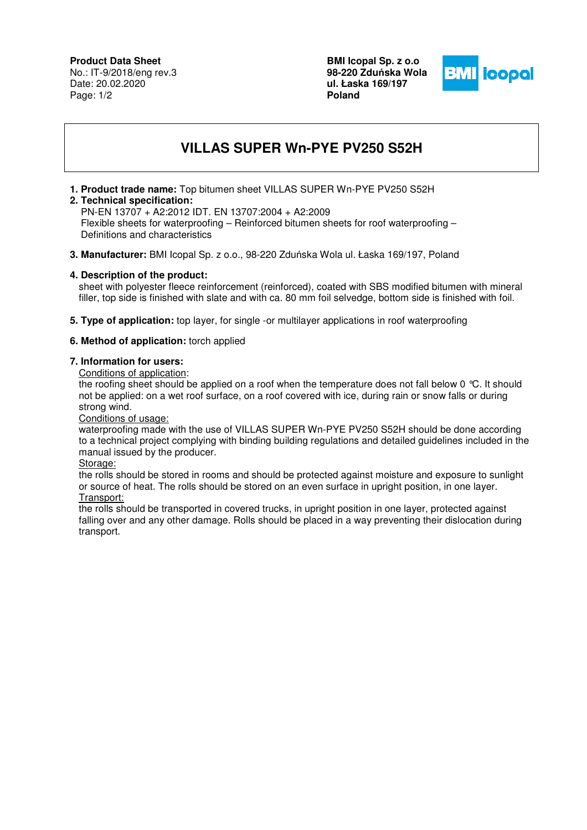# **Product Data Sheet**

No.: IT-9/2018/eng rev.3 Date: 20.02.2020 Page: 1/2

**BMI Icopal Sp. z o.o 98-220 Zdu**ń**ska Wola ul. Łaska 169/197 Poland** 



# **VILLAS SUPER Wn-PYE PV250 S52H**

**1. Product trade name:** Top bitumen sheet VILLAS SUPER Wn-PYE PV250 S52H

#### **2. Technical specification:**

 PN-EN 13707 + A2:2012 IDT. EN 13707:2004 + A2:2009 Flexible sheets for waterproofing – Reinforced bitumen sheets for roof waterproofing – Definitions and characteristics

**3. Manufacturer:** BMI Icopal Sp. z o.o., 98-220 Zduńska Wola ul. Łaska 169/197, Poland

### **4. Description of the product:**

sheet with polyester fleece reinforcement (reinforced), coated with SBS modified bitumen with mineral filler, top side is finished with slate and with ca. 80 mm foil selvedge, bottom side is finished with foil.

**5. Type of application:** top layer, for single -or multilayer applications in roof waterproofing

# **6. Method of application:** torch applied

# **7. Information for users:**

Conditions of application:

the roofing sheet should be applied on a roof when the temperature does not fall below 0 °C. It should not be applied: on a wet roof surface, on a roof covered with ice, during rain or snow falls or during strong wind.

Conditions of usage:

waterproofing made with the use of VILLAS SUPER Wn-PYE PV250 S52H should be done according to a technical project complying with binding building regulations and detailed guidelines included in the manual issued by the producer.

#### Storage:

the rolls should be stored in rooms and should be protected against moisture and exposure to sunlight or source of heat. The rolls should be stored on an even surface in upright position, in one layer. Transport:

the rolls should be transported in covered trucks, in upright position in one layer, protected against falling over and any other damage. Rolls should be placed in a way preventing their dislocation during transport.